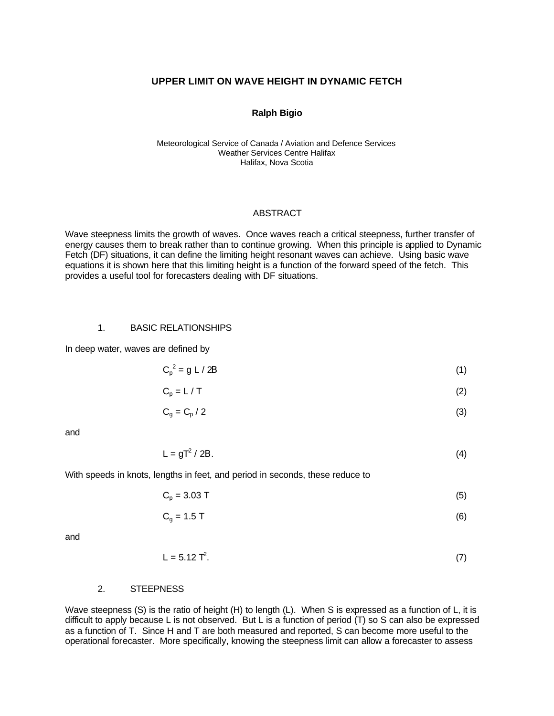### **UPPER LIMIT ON WAVE HEIGHT IN DYNAMIC FETCH**

#### **Ralph Bigio**

#### Meteorological Service of Canada / Aviation and Defence Services Weather Services Centre Halifax Halifax, Nova Scotia

#### ABSTRACT

Wave steepness limits the growth of waves. Once waves reach a critical steepness, further transfer of energy causes them to break rather than to continue growing. When this principle is applied to Dynamic Fetch (DF) situations, it can define the limiting height resonant waves can achieve. Using basic wave equations it is shown here that this limiting height is a function of the forward speed of the fetch. This provides a useful tool for forecasters dealing with DF situations.

### 1. BASIC RELATIONSHIPS

In deep water, waves are defined by

$$
C_p^2 = g L / 2B \tag{1}
$$

$$
C_p = L / T \tag{2}
$$

$$
C_g = C_p / 2 \tag{3}
$$

and

$$
L = gT^2 / 2B. \tag{4}
$$

With speeds in knots, lengths in feet, and period in seconds, these reduce to

$$
C_p = 3.03 \text{ T} \tag{5}
$$

$$
C_g = 1.5 T \tag{6}
$$

and

$$
L = 5.12 T2.
$$
 (7)

### 2. STEEPNESS

Wave steepness (S) is the ratio of height (H) to length (L). When S is expressed as a function of L, it is difficult to apply because L is not observed. But L is a function of period (T) so S can also be expressed as a function of T. Since H and T are both measured and reported, S can become more useful to the operational forecaster. More specifically, knowing the steepness limit can allow a forecaster to assess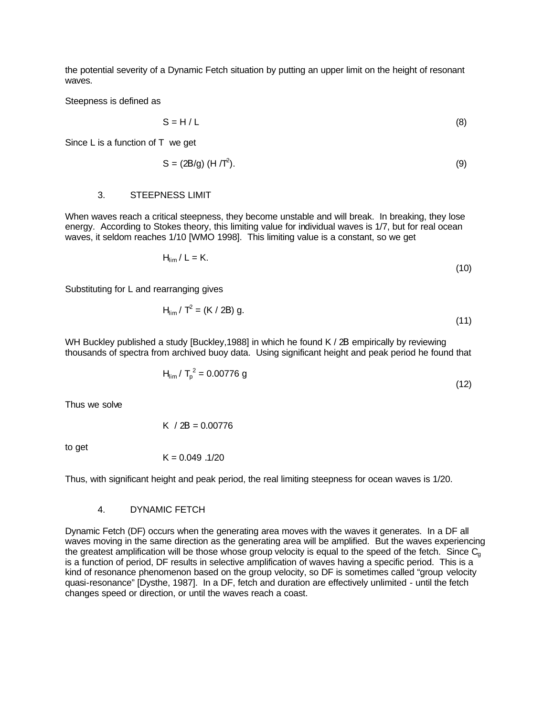the potential severity of a Dynamic Fetch situation by putting an upper limit on the height of resonant waves.

Steepness is defined as

$$
S = H/L
$$
 (8)

Since L is a function of T we get

$$
S = (2B/g) (H/T2). \tag{9}
$$

#### 3. STEEPNESS LIMIT

When waves reach a critical steepness, they become unstable and will break. In breaking, they lose energy. According to Stokes theory, this limiting value for individual waves is 1/7, but for real ocean waves, it seldom reaches 1/10 [WMO 1998]. This limiting value is a constant, so we get

$$
H_{\text{lim}}/L = K.
$$
 (10)

Substituting for L and rearranging gives

$$
H_{\text{lim}} / T^2 = (K / 2B) g.
$$
 (11)

WH Buckley published a study [Buckley,1988] in which he found K / 2B empirically by reviewing thousands of spectra from archived buoy data. Using significant height and peak period he found that

$$
H_{\text{lim}} / T_p^2 = 0.00776 \text{ g}
$$
 (12)

Thus we solve

K / 
$$
2B = 0.00776
$$

to get

$$
K = 0.049\ .1/20
$$

Thus, with significant height and peak period, the real limiting steepness for ocean waves is 1/20.

### 4. DYNAMIC FETCH

Dynamic Fetch (DF) occurs when the generating area moves with the waves it generates. In a DF all waves moving in the same direction as the generating area will be amplified. But the waves experiencing the greatest amplification will be those whose group velocity is equal to the speed of the fetch. Since  $C_{q}$ is a function of period, DF results in selective amplification of waves having a specific period. This is a kind of resonance phenomenon based on the group velocity, so DF is sometimes called "group velocity quasi-resonance" [Dysthe, 1987]. In a DF, fetch and duration are effectively unlimited - until the fetch changes speed or direction, or until the waves reach a coast.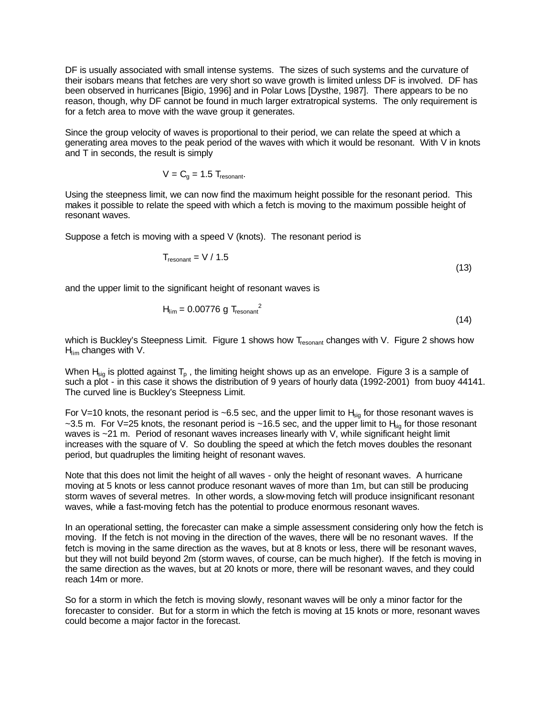DF is usually associated with small intense systems. The sizes of such systems and the curvature of their isobars means that fetches are very short so wave growth is limited unless DF is involved. DF has been observed in hurricanes [Bigio, 1996] and in Polar Lows [Dysthe, 1987]. There appears to be no reason, though, why DF cannot be found in much larger extratropical systems. The only requirement is for a fetch area to move with the wave group it generates.

Since the group velocity of waves is proportional to their period, we can relate the speed at which a generating area moves to the peak period of the waves with which it would be resonant. With V in knots and T in seconds, the result is simply

$$
V = Cg = 1.5 Tresonant.
$$

Using the steepness limit, we can now find the maximum height possible for the resonant period. This makes it possible to relate the speed with which a fetch is moving to the maximum possible height of resonant waves.

Suppose a fetch is moving with a speed V (knots). The resonant period is

$$
T_{\text{resonant}} = V / 1.5 \tag{13}
$$

and the upper limit to the significant height of resonant waves is

$$
H_{\text{lim}} = 0.00776 \text{ g} T_{\text{resonant}}^2 \tag{14}
$$

which is Buckley's Steepness Limit. Figure 1 shows how T<sub>resonant</sub> changes with V. Figure 2 shows how  $H_{\text{lim}}$  changes with V.

When  $H_{\text{sin}}$  is plotted against  $T_p$ , the limiting height shows up as an envelope. Figure 3 is a sample of such a plot - in this case it shows the distribution of 9 years of hourly data (1992-2001) from buoy 44141. The curved line is Buckley's Steepness Limit.

For V=10 knots, the resonant period is ~6.5 sec, and the upper limit to  $H_{sig}$  for those resonant waves is ~3.5 m. For V=25 knots, the resonant period is ~16.5 sec, and the upper limit to  $H_{\text{kin}}$  for those resonant waves is ~21 m. Period of resonant waves increases linearly with V, while significant height limit increases with the square of V. So doubling the speed at which the fetch moves doubles the resonant period, but quadruples the limiting height of resonant waves.

Note that this does not limit the height of all waves - only the height of resonant waves. A hurricane moving at 5 knots or less cannot produce resonant waves of more than 1m, but can still be producing storm waves of several metres. In other words, a slow-moving fetch will produce insignificant resonant waves, while a fast-moving fetch has the potential to produce enormous resonant waves.

In an operational setting, the forecaster can make a simple assessment considering only how the fetch is moving. If the fetch is not moving in the direction of the waves, there will be no resonant waves. If the fetch is moving in the same direction as the waves, but at 8 knots or less, there will be resonant waves, but they will not build beyond 2m (storm waves, of course, can be much higher). If the fetch is moving in the same direction as the waves, but at 20 knots or more, there will be resonant waves, and they could reach 14m or more.

So for a storm in which the fetch is moving slowly, resonant waves will be only a minor factor for the forecaster to consider. But for a storm in which the fetch is moving at 15 knots or more, resonant waves could become a major factor in the forecast.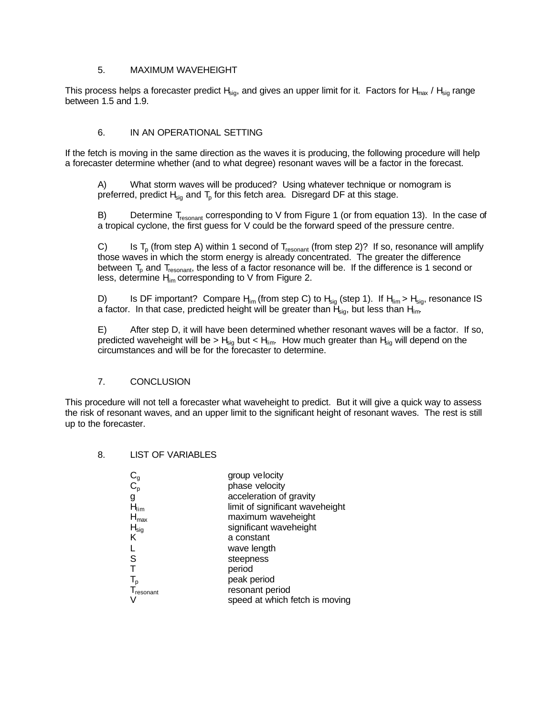### 5. MAXIMUM WAVEHEIGHT

This process helps a forecaster predict  $H_{sio}$ , and gives an upper limit for it. Factors for  $H_{max}$  /  $H_{sio}$  range between 1.5 and 1.9.

### 6. IN AN OPERATIONAL SETTING

If the fetch is moving in the same direction as the waves it is producing, the following procedure will help a forecaster determine whether (and to what degree) resonant waves will be a factor in the forecast.

A) What storm waves will be produced? Using whatever technique or nomogram is preferred, predict  $H_{sig}$  and  $T_p$  for this fetch area. Disregard DF at this stage.

B) Determine  $T_{resonant}$  corresponding to V from Figure 1 (or from equation 13). In the case of a tropical cyclone, the first guess for V could be the forward speed of the pressure centre.

C) Is  $T_p$  (from step A) within 1 second of  $T_{resonant}$  (from step 2)? If so, resonance will amplify those waves in which the storm energy is already concentrated. The greater the difference between  $T_{p}$  and  $T_{resonant}$ , the less of a factor resonance will be. If the difference is 1 second or less, determine  $H_{\text{im}}$  corresponding to V from Figure 2.

D) Is DF important? Compare  $H_{\text{lim}}$  (from step C) to  $H_{\text{sig}}$  (step 1). If  $H_{\text{lim}} > H_{\text{sig}}$ , resonance IS a factor. In that case, predicted height will be greater than  $H_{\text{sig}}$ , but less than  $H_{\text{lim}}$ .

E) After step D, it will have been determined whether resonant waves will be a factor. If so, predicted waveheight will be >  $H_{sig}$  but <  $H_{im}$ . How much greater than  $H_{sig}$  will depend on the circumstances and will be for the forecaster to determine.

# 7. CONCLUSION

This procedure will not tell a forecaster what waveheight to predict. But it will give a quick way to assess the risk of resonant waves, and an upper limit to the significant height of resonant waves. The rest is still up to the forecaster.

### 8. LIST OF VARIABLES

|                           | group velocity                  |
|---------------------------|---------------------------------|
| $\operatorname{C_{g}^{}}$ | phase velocity                  |
| g                         | acceleration of gravity         |
| $H_{\text{lim}}$          | limit of significant waveheight |
| $H_{\text{max}}$          | maximum waveheight              |
| $H_{sig}$                 | significant waveheight          |
| κ                         | a constant                      |
|                           | wave length                     |
| S                         | steepness                       |
| $\tilde{\mathsf{T}}$      | period                          |
| $\mathsf{T}_\mathsf{p}$   | peak period                     |
| resonant                  | resonant period                 |
|                           | speed at which fetch is moving  |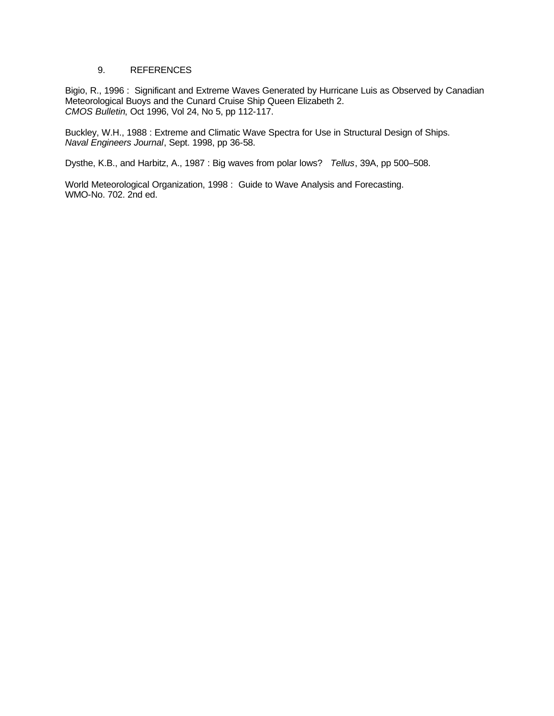### 9. REFERENCES

Bigio, R., 1996 : Significant and Extreme Waves Generated by Hurricane Luis as Observed by Canadian Meteorological Buoys and the Cunard Cruise Ship Queen Elizabeth 2. *CMOS Bulletin*, Oct 1996, Vol 24, No 5, pp 112-117.

Buckley, W.H., 1988 : Extreme and Climatic Wave Spectra for Use in Structural Design of Ships. *Naval Engineers Journal*, Sept. 1998, pp 36-58.

Dysthe, K.B., and Harbitz, A., 1987 : Big waves from polar lows? *Tellus*, 39A, pp 500–508.

World Meteorological Organization, 1998 : Guide to Wave Analysis and Forecasting. WMO-No. 702. 2nd ed.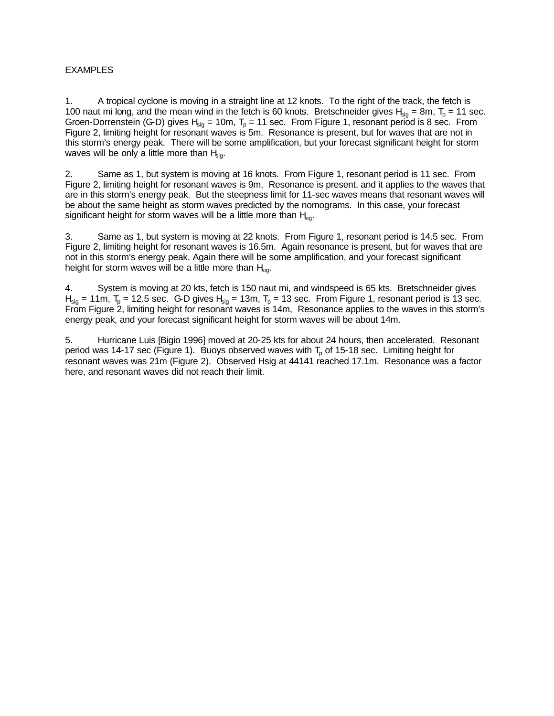# **EXAMPLES**

1. A tropical cyclone is moving in a straight line at 12 knots. To the right of the track, the fetch is 100 naut mi long, and the mean wind in the fetch is 60 knots. Bretschneider gives  $H_{sig} = 8m$ ,  $T_p = 11$  sec. Groen-Dorrenstein (G-D) gives  $H_{sig} = 10m$ ,  $T_p = 11$  sec. From Figure 1, resonant period is 8 sec. From Figure 2, limiting height for resonant waves is 5m. Resonance is present, but for waves that are not in this storm's energy peak. There will be some amplification, but your forecast significant height for storm waves will be only a little more than  $H_{\text{sig}}$ .

2. Same as 1, but system is moving at 16 knots. From Figure 1, resonant period is 11 sec. From Figure 2, limiting height for resonant waves is 9m, Resonance is present, and it applies to the waves that are in this storm's energy peak. But the steepness limit for 11-sec waves means that resonant waves will be about the same height as storm waves predicted by the nomograms. In this case, your forecast significant height for storm waves will be a little more than  $H_{\text{kin}}$ .

3. Same as 1, but system is moving at 22 knots. From Figure 1, resonant period is 14.5 sec. From Figure 2, limiting height for resonant waves is 16.5m. Again resonance is present, but for waves that are not in this storm's energy peak. Again there will be some amplification, and your forecast significant height for storm waves will be a little more than  $H_{\text{sig}}$ .

4. System is moving at 20 kts, fetch is 150 naut mi, and windspeed is 65 kts. Bretschneider gives  $H_{\text{sio}} = 11 \text{m}$ ,  $T_{\text{o}} = 12.5 \text{ sec}$ . G-D gives  $H_{\text{sio}} = 13 \text{m}$ ,  $T_{\text{o}} = 13 \text{ sec}$ . From Figure 1, resonant period is 13 sec. From Figure 2, limiting height for resonant waves is 14m, Resonance applies to the waves in this storm's energy peak, and your forecast significant height for storm waves will be about 14m.

5. Hurricane Luis [Bigio 1996] moved at 20-25 kts for about 24 hours, then accelerated. Resonant period was 14-17 sec (Figure 1). Buoys observed waves with  $T<sub>o</sub>$  of 15-18 sec. Limiting height for resonant waves was 21m (Figure 2). Observed Hsig at 44141 reached 17.1m. Resonance was a factor here, and resonant waves did not reach their limit.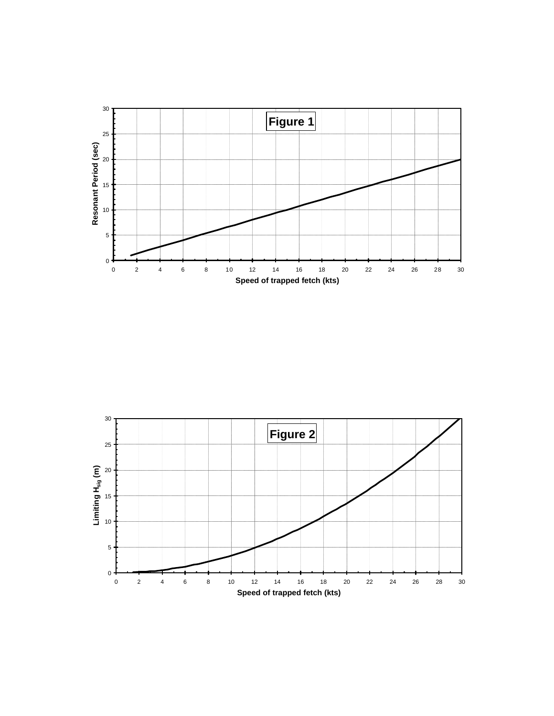